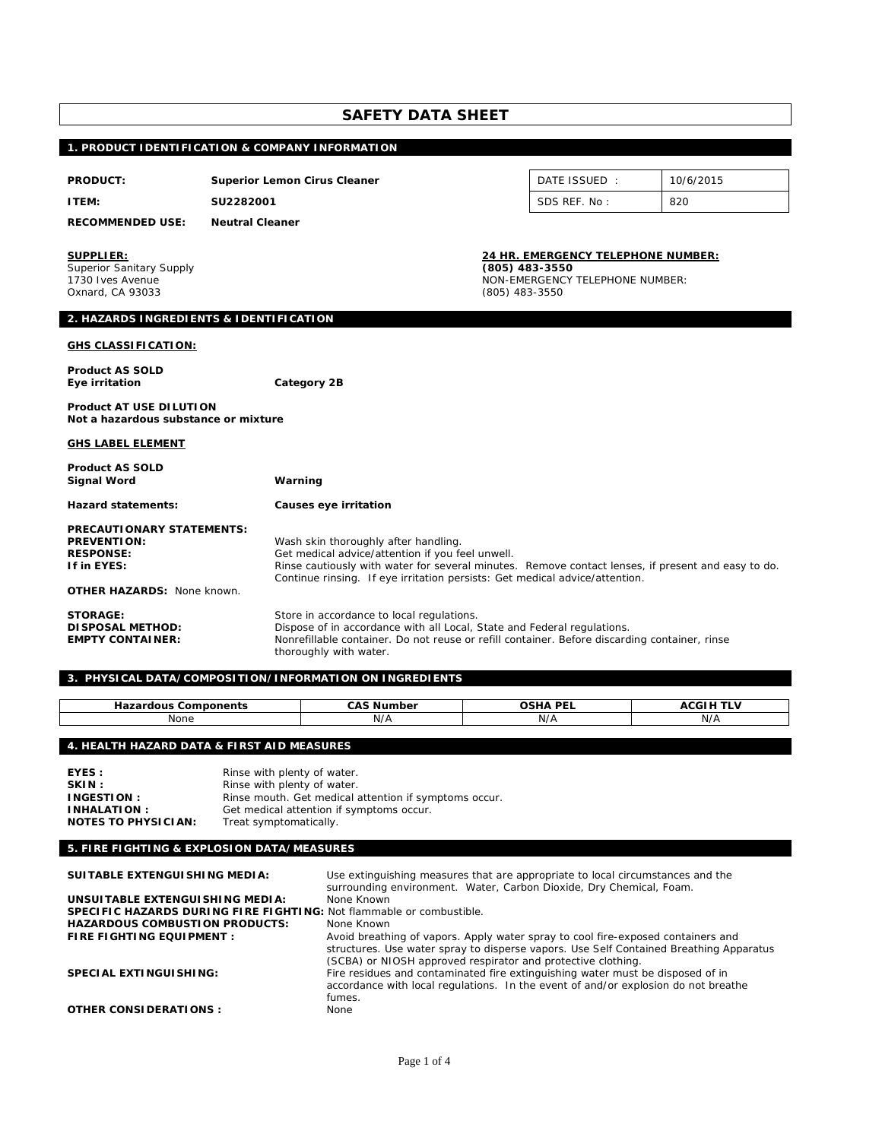| SAFETY DATA SHEET |  |
|-------------------|--|
|-------------------|--|

# **1. PRODUCT IDENTIFICATION & COMPANY INFORMATION**

| <b>PRODUCT:</b>                                                                                                         | <b>Superior Lemon Cirus Cleaner</b>                                 |                                                                                                                                                                                                                                       | DATE ISSUED :                                                                                                    | 10/6/2015 |
|-------------------------------------------------------------------------------------------------------------------------|---------------------------------------------------------------------|---------------------------------------------------------------------------------------------------------------------------------------------------------------------------------------------------------------------------------------|------------------------------------------------------------------------------------------------------------------|-----------|
| <b>ITEM:</b>                                                                                                            | SU2282001                                                           |                                                                                                                                                                                                                                       |                                                                                                                  | 820       |
| <b>RECOMMENDED USE:</b>                                                                                                 | <b>Neutral Cleaner</b>                                              |                                                                                                                                                                                                                                       |                                                                                                                  |           |
| <b>SUPPLIER:</b><br><b>Superior Sanitary Supply</b><br>1730 Ives Avenue<br>Oxnard, CA 93033                             |                                                                     |                                                                                                                                                                                                                                       | 24 HR. EMERGENCY TELEPHONE NUMBER:<br>(805) 483-3550<br><b>NON-EMERGENCY TELEPHONE NUMBER:</b><br>(805) 483-3550 |           |
| 2. HAZARDS INGREDIENTS & IDENTIFICATION                                                                                 |                                                                     |                                                                                                                                                                                                                                       |                                                                                                                  |           |
| <b>GHS CLASSIFICATION:</b>                                                                                              |                                                                     |                                                                                                                                                                                                                                       |                                                                                                                  |           |
| <b>Product AS SOLD</b><br>Eye irritation                                                                                | Category 2B                                                         |                                                                                                                                                                                                                                       |                                                                                                                  |           |
| <b>Product AT USE DILUTION</b><br>Not a hazardous substance or mixture                                                  |                                                                     |                                                                                                                                                                                                                                       |                                                                                                                  |           |
| <b>GHS LABEL ELEMENT</b>                                                                                                |                                                                     |                                                                                                                                                                                                                                       |                                                                                                                  |           |
| <b>Product AS SOLD</b><br><b>Signal Word</b>                                                                            | Warning                                                             |                                                                                                                                                                                                                                       |                                                                                                                  |           |
| <b>Hazard statements:</b>                                                                                               | Causes eye irritation                                               |                                                                                                                                                                                                                                       |                                                                                                                  |           |
| <b>PRECAUTIONARY STATEMENTS:</b><br><b>PREVENTION:</b><br><b>RESPONSE:</b><br>If in EYES:<br>OTHER HAZARDS: None known. | Wash skin thoroughly after handling.                                | Get medical advice/attention if you feel unwell.<br>Rinse cautiously with water for several minutes. Remove contact lenses, if present and easy to do.<br>Continue rinsing. If eye irritation persists: Get medical advice/attention. |                                                                                                                  |           |
| <b>STORAGE:</b><br><b>DI SPOSAL METHOD:</b><br><b>EMPTY CONTAINER:</b>                                                  | Store in accordance to local regulations.<br>thoroughly with water. | Dispose of in accordance with all Local, State and Federal regulations.<br>Nonrefillable container. Do not reuse or refill container. Before discarding container, rinse                                                              |                                                                                                                  |           |
|                                                                                                                         | 3. PHYSICAL DATA/COMPOSITION/INFORMATION ON INGREDIENTS             |                                                                                                                                                                                                                                       |                                                                                                                  |           |

| --------<br>$- - - -$<br>ious<br>nents<br>-- | . .<br>ົ^<br>---<br>NI.<br>10e1 | <b>DEI</b><br>റലേ∧<br>. | …<br>.            |
|----------------------------------------------|---------------------------------|-------------------------|-------------------|
| None                                         | N/A                             | N/A                     | <b>MI</b><br>IV/F |

# **4. HEALTH HAZARD DATA & FIRST AID MEASURES**

| EYES :                     | Rinse with plenty of water.                           |
|----------------------------|-------------------------------------------------------|
| SKIN:                      | Rinse with plenty of water.                           |
| <b>INGESTION:</b>          | Rinse mouth. Get medical attention if symptoms occur. |
| <b>INHALATION:</b>         | Get medical attention if symptoms occur.              |
| <b>NOTES TO PHYSICIAN:</b> | Treat symptomatically.                                |

# **5. FIRE FIGHTING & EXPLOSION DATA/MEASURES**

| SUITABLE EXTENGUISHING MEDIA:                                        | Use extinguishing measures that are appropriate to local circumstances and the<br>surrounding environment. Water, Carbon Dioxide, Dry Chemical, Foam.                                                                                      |
|----------------------------------------------------------------------|--------------------------------------------------------------------------------------------------------------------------------------------------------------------------------------------------------------------------------------------|
| UNSUITABLE EXTENGUISHING MEDIA:                                      | None Known                                                                                                                                                                                                                                 |
| SPECIFIC HAZARDS DURING FIRE FIGHTING: Not flammable or combustible. |                                                                                                                                                                                                                                            |
| <b>HAZARDOUS COMBUSTION PRODUCTS:</b>                                | None Known                                                                                                                                                                                                                                 |
| FIRE FIGHTING EQUIPMENT :                                            | Avoid breathing of vapors. Apply water spray to cool fire-exposed containers and<br>structures. Use water spray to disperse vapors. Use Self Contained Breathing Apparatus<br>(SCBA) or NIOSH approved respirator and protective clothing. |
| SPECIAL EXTINGUISHING:                                               | Fire residues and contaminated fire extinguishing water must be disposed of in<br>accordance with local regulations. In the event of and/or explosion do not breathe<br>fumes.                                                             |
| <b>OTHER CONSIDERATIONS:</b>                                         | None                                                                                                                                                                                                                                       |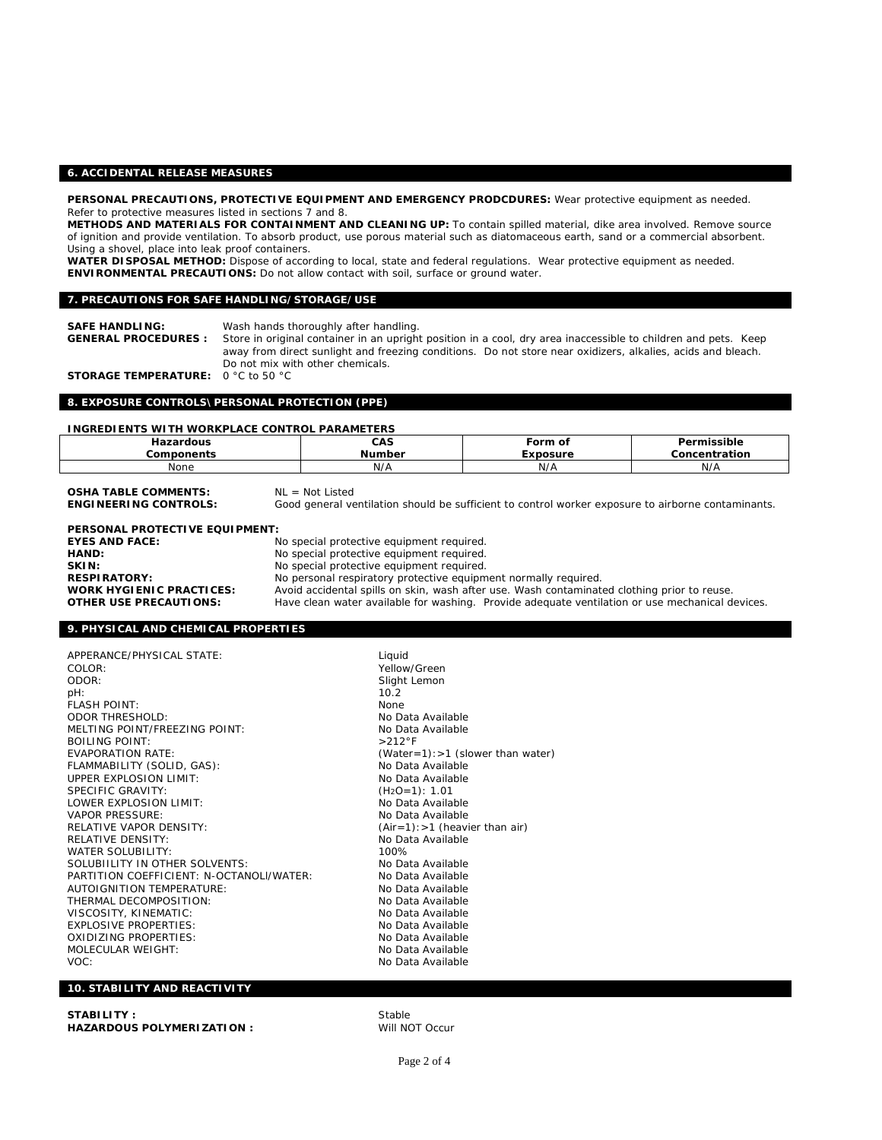## **6. ACCIDENTAL RELEASE MEASURES**

**PERSONAL PRECAUTIONS, PROTECTIVE EQUIPMENT AND EMERGENCY PRODCDURES:** Wear protective equipment as needed. Refer to protective measures listed in sections 7 and 8.

**METHODS AND MATERIALS FOR CONTAINMENT AND CLEANING UP:** To contain spilled material, dike area involved. Remove source of ignition and provide ventilation. To absorb product, use porous material such as diatomaceous earth, sand or a commercial absorbent. Using a shovel, place into leak proof containers.

**WATER DISPOSAL METHOD:** Dispose of according to local, state and federal regulations. Wear protective equipment as needed. **ENVIRONMENTAL PRECAUTIONS:** Do not allow contact with soil, surface or ground water.

### **7. PRECAUTIONS FOR SAFE HANDLING/STORAGE/USE**

**SAFE HANDLING:** Wash hands thoroughly after handling. Store in original container in an upright position in a cool, dry area inaccessible to children and pets. Keep away from direct sunlight and freezing conditions. Do not store near oxidizers, alkalies, acids and bleach. Do not mix with other chemicals.

**STORAGE TEMPERATURE:** 0 °C to 50 °C

### **8. EXPOSURE CONTROLS\PERSONAL PROTECTION (PPE)**

### **INGREDIENTS WITH WORKPLACE CONTROL PARAMETERS**

| ardous<br>.<br>vonents<br>"or | CAS<br>Jumber<br>NH | ∙orm<br>Οl<br>the contract of the contract of the contract of the contract of the contract of<br>xposure | $\cdots$<br>`issible<br>.<br>าcentration<br>. |
|-------------------------------|---------------------|----------------------------------------------------------------------------------------------------------|-----------------------------------------------|
| None                          | <b>NI/A</b><br>N/M  | N/A                                                                                                      | N/A                                           |

**OSHA TABLE COMMENTS: NL = Not Listed**<br>**ENGINEERING CONTROLS:** Good general ve Good general ventilation should be sufficient to control worker exposure to airborne contaminants. **PERSONAL PROTECTIVE EQUIPMENT:** 

| <b>EYES AND FACE:</b>           | No special protective equipment required.                                                       |
|---------------------------------|-------------------------------------------------------------------------------------------------|
| HAND:                           | No special protective equipment required.                                                       |
| SKIN:                           | No special protective equipment required.                                                       |
| <b>RESPIRATORY:</b>             | No personal respiratory protective equipment normally required.                                 |
| <b>WORK HYGIENIC PRACTICES:</b> | Avoid accidental spills on skin, wash after use. Wash contaminated clothing prior to reuse.     |
| <b>OTHER USE PRECAUTIONS:</b>   | Have clean water available for washing. Provide adequate ventilation or use mechanical devices. |

### **9. PHYSICAL AND CHEMICAL PROPERTIES**

APPERANCE/PHYSICAL STATE: Liquid COLOR: Yellow/Green pH: 10.2 .<br>FLASH POINT: None ODOR THRESHOLD:<br>MELTING POINT/FREEZING POINT: No Data Available MELTING POINT/FREEZING POINT: BOILING POINT: >212°F EVAPORATION RATE: (Water=1):>1 (slower than water) FLAMMABILITY (SOLID, GAS): No Data Available UPPER EXPLOSION LIMIT:<br>
SPECIFIC GRAVITY: No Data Available<br>
(H2O=1): 1.01 SPECIFIC GRAVITY: (H2O=1): 1.01 LOWER EXPLOSION LIMIT: VAPOR PRESSURE: WE ARRIVE TO DATA Available RELATIVE VAPOR DENSITY: (Air=1):>1 (heavier than air) RELATIVE DENSITY: WATER SOLUBILITY:<br>100% SOLUBILITY IN OTHER SOLVENTS: 1000% No Data Available  $SOL$ UBIILITY IN OTHER SOLVENTS: PARTITION COEFFICIENT: N-OCTANOLI/WATER: No Data Available AUTOIGNITION TEMPERATURE:<br>THERMAL DECOMPOSITION: No Data Available THERMAL DECOMPOSITION:<br>VISCOSITY, KINEMATIC: No Data Available **VISCOSITY, KINEMATIC:** EXPLOSIVE PROPERTIES: No Data Available OXIDIZING PROPERTIES:<br>MOLECULAR WEIGHT: NO Data Available MOLECULAR WEIGHT: VOC: No Data Available No Data Available No Data Available

Slight Lemon

## **10. STABILITY AND REACTIVITY**

| STABILITY :                | Stable  |
|----------------------------|---------|
| HAZARDOUS POLYMERIZATION : | Will NC |

**Will NOT Occur**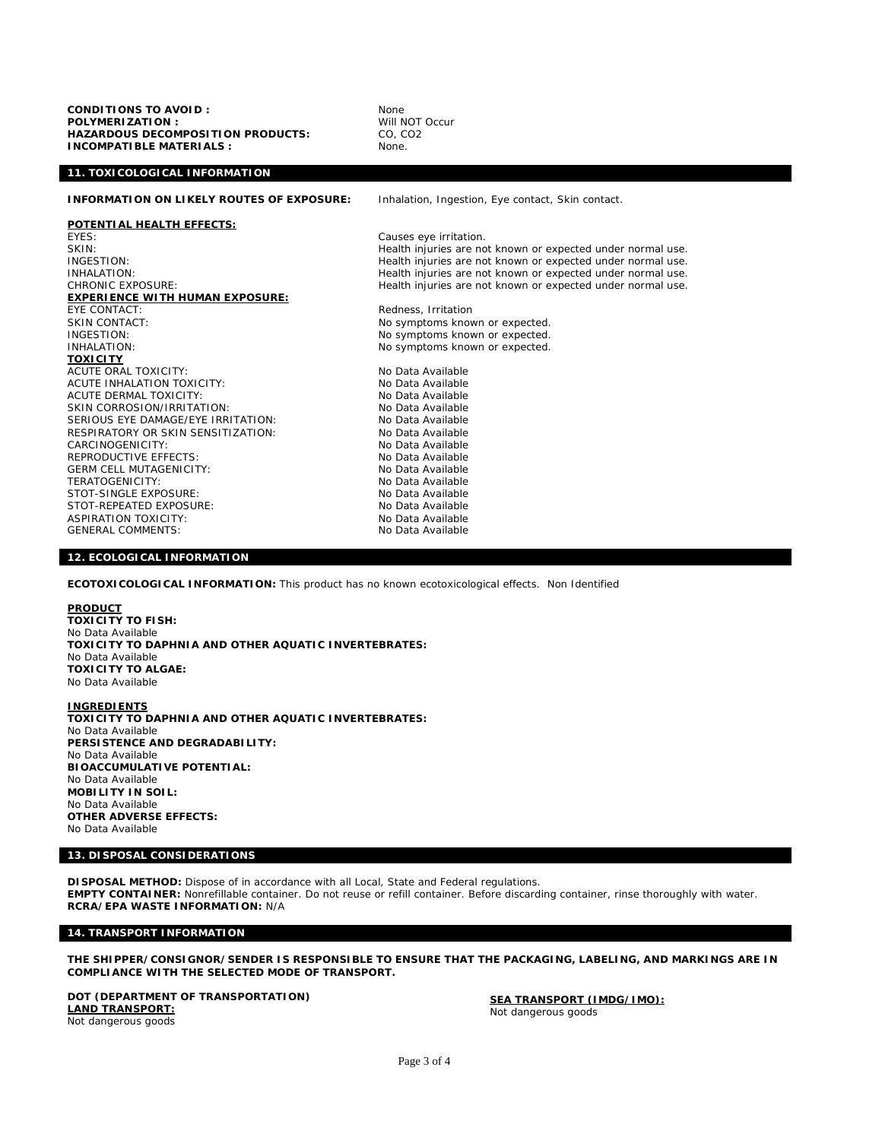**CONDITIONS TO AVOID :** None **POLYMERIZATION :** Will NOT Occur **HAZARDOUS DECOMPOSITION PRODUCTS: INCOMPATIBLE MATERIALS :** None.

# **11. TOXICOLOGICAL INFORMATION**

**INFORMATION ON LIKELY ROUTES OF EXPOSURE:** Inhalation, Ingestion, Eye contact, Skin contact.

**POTENTIAL HEALTH EFFECTS:** EYES: Causes eye irritation. **EXPERIENCE WITH HUMAN EXPOSURE:** EYE CONTACT: The CONTACT:<br>
EXECTED SKIN CONTACT: SKIN CONTACT: The CONTACT: SKIN CONTACT:<br>
INGESTION: NO symptoms known or expected.<br>
No symptoms known or expected. INGESTION:<br>
INHALATION: NO symptoms known or expected.<br>
No symptoms known or expected. **TOXICITY** ACUTE ORAL TOXICITY:<br>ACUTE INHALATION TOXICITY: No Data Available ACUTE INHALATION TOXICITY:<br>ACUTE DERMAL TOXICITY: No Data Available ACUTE DERMAL TOXICITY:<br>
SKIN CORROSION/IRRITATION: No Data Available SKIN CORROSION/IRRITATION: NO Data Available<br>SERIOUS EYE DAMAGE/EYE IRRITATION: No Data Available SERIOUS EYE DAMAGE/EYE IRRITATION: RESPIRATORY OR SKIN SENSITIZATION: No Data Available CARCINOGENICITY:<br>
REPRODUCTIVE FFFECTS: No Data Available REPRODUCTIVE EFFECTS:<br>GERM CELL MUTAGENICITY: No Data Available **GERM CELL MUTAGENICITY:** TERATOGENICITY:<br>
STOT-SINGLE EXPOSURE: No Data Available<br>
No Data Available STOT-SINGLE EXPOSURE:<br>STOT-REPEATED EXPOSURE: No Data Available STOT-REPEATED EXPOSURE: ASPIRATION TOXICITY: No Data Available GENERAL COMMENTS: No Data Available

SKIN:<br>INGESTION: THE STATE STATE Health injuries are not known or expected under normal use.<br>Health injuries are not known or expected under normal use. INGESTION:<br>INHALATION: INHALATION: Experiment and the structure of the Health injuries are not known or expected under normal use. INHALATION:<br>CHRONIC EXPOSURE: The Same of the Health injuries are not known or expected under normal use. Health injuries are not known or expected under normal use.

No symptoms known or expected.

#### **12. ECOLOGICAL INFORMATION**

**ECOTOXICOLOGICAL INFORMATION:** This product has no known ecotoxicological effects. Non Identified

### **PRODUCT**

**TOXICITY TO FISH:**  No Data Available **TOXICITY TO DAPHNIA AND OTHER AQUATIC INVERTEBRATES:**  No Data Available **TOXICITY TO ALGAE:**  No Data Available

**INGREDIENTS**

**TOXICITY TO DAPHNIA AND OTHER AQUATIC INVERTEBRATES:**  No Data Available **PERSISTENCE AND DEGRADABILITY:**  No Data Available **BIOACCUMULATIVE POTENTIAL:**  No Data Available **MOBILITY IN SOIL:**  No Data Available **OTHER ADVERSE EFFECTS:**  No Data Available

## **13. DISPOSAL CONSIDERATIONS**

**DISPOSAL METHOD:** Dispose of in accordance with all Local, State and Federal regulations. **EMPTY CONTAINER:** Nonrefillable container. Do not reuse or refill container. Before discarding container, rinse thoroughly with water. **RCRA/EPA WASTE INFORMATION:** N/A

### **14. TRANSPORT INFORMATION**

**THE SHIPPER/CONSIGNOR/SENDER IS RESPONSIBLE TO ENSURE THAT THE PACKAGING, LABELING, AND MARKINGS ARE IN COMPLIANCE WITH THE SELECTED MODE OF TRANSPORT.** 

**DOT (DEPARTMENT OF TRANSPORTATION) LAND TRANSPORT:** Not dangerous goods

**SEA TRANSPORT (IMDG/IMO):** Not dangerous goods